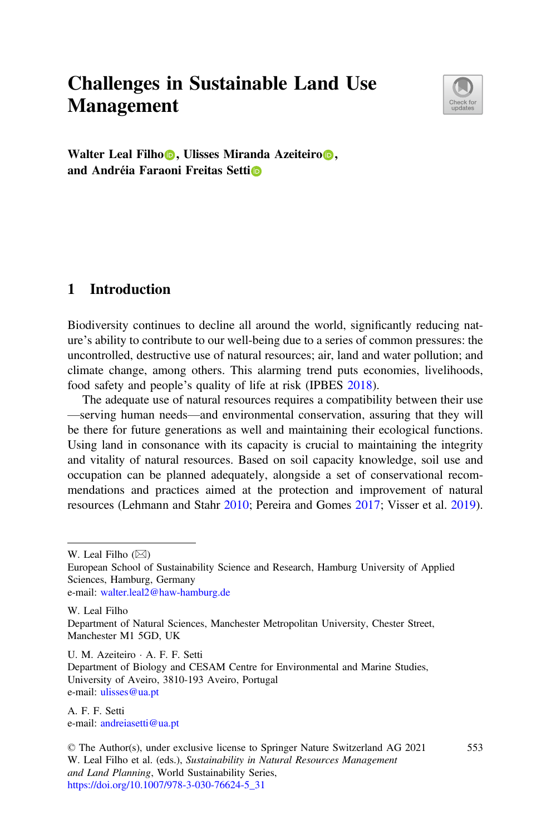# Challenges in Sustainable Land Use Management



Walter Leal Filh[o](https://orcid.org/0000-0002-5252-1700) , Ulisses Miranda Azeiteiro . and Andréia Faraoni Freitas Setti

## 1 Introduction

Biodiversity continues to decline all around the world, significantly reducing nature's ability to contribute to our well-being due to a series of common pressures: the uncontrolled, destructive use of natural resources; air, land and water pollution; and climate change, among others. This alarming trend puts economies, livelihoods, food safety and people's quality of life at risk (IPBES [2018](#page-2-0)).

The adequate use of natural resources requires a compatibility between their use —serving human needs—and environmental conservation, assuring that they will be there for future generations as well and maintaining their ecological functions. Using land in consonance with its capacity is crucial to maintaining the integrity and vitality of natural resources. Based on soil capacity knowledge, soil use and occupation can be planned adequately, alongside a set of conservational recommendations and practices aimed at the protection and improvement of natural resources (Lehmann and Stahr [2010;](#page-2-0) Pereira and Gomes [2017](#page-3-0); Visser et al. [2019\)](#page-3-0).

W. Leal Filho  $(\boxtimes)$ 

European School of Sustainability Science and Research, Hamburg University of Applied Sciences, Hamburg, Germany e-mail: [walter.leal2@haw-hamburg.de](mailto:walter.leal2@haw-hamburg.de)

W. Leal Filho Department of Natural Sciences, Manchester Metropolitan University, Chester Street, Manchester M1 5GD, UK

U. M. Azeiteiro · A. F. F. Setti Department of Biology and CESAM Centre for Environmental and Marine Studies, University of Aveiro, 3810-193 Aveiro, Portugal e-mail: [ulisses@ua.pt](mailto:ulisses@ua.pt)

A. F. F. Setti e-mail: [andreiasetti@ua.pt](mailto:andreiasetti@ua.pt)

553

<sup>©</sup> The Author(s), under exclusive license to Springer Nature Switzerland AG 2021 W. Leal Filho et al. (eds.), Sustainability in Natural Resources Management and Land Planning, World Sustainability Series, [https://doi.org/10.1007/978-3-030-76624-5\\_31](https://doi.org/10.1007/978-3-030-76624-5_31)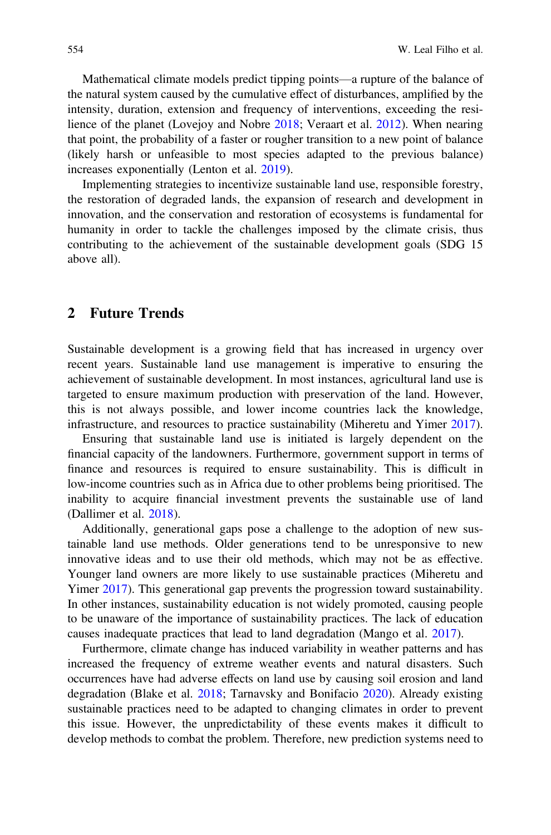Mathematical climate models predict tipping points—a rupture of the balance of the natural system caused by the cumulative effect of disturbances, amplified by the intensity, duration, extension and frequency of interventions, exceeding the resilience of the planet (Lovejoy and Nobre [2018;](#page-3-0) Veraart et al. [2012](#page-3-0)). When nearing that point, the probability of a faster or rougher transition to a new point of balance (likely harsh or unfeasible to most species adapted to the previous balance) increases exponentially (Lenton et al. [2019](#page-2-0)).

Implementing strategies to incentivize sustainable land use, responsible forestry, the restoration of degraded lands, the expansion of research and development in innovation, and the conservation and restoration of ecosystems is fundamental for humanity in order to tackle the challenges imposed by the climate crisis, thus contributing to the achievement of the sustainable development goals (SDG 15 above all).

#### 2 Future Trends

Sustainable development is a growing field that has increased in urgency over recent years. Sustainable land use management is imperative to ensuring the achievement of sustainable development. In most instances, agricultural land use is targeted to ensure maximum production with preservation of the land. However, this is not always possible, and lower income countries lack the knowledge, infrastructure, and resources to practice sustainability (Miheretu and Yimer [2017\)](#page-3-0).

Ensuring that sustainable land use is initiated is largely dependent on the financial capacity of the landowners. Furthermore, government support in terms of finance and resources is required to ensure sustainability. This is difficult in low-income countries such as in Africa due to other problems being prioritised. The inability to acquire financial investment prevents the sustainable use of land (Dallimer et al. [2018\)](#page-2-0).

Additionally, generational gaps pose a challenge to the adoption of new sustainable land use methods. Older generations tend to be unresponsive to new innovative ideas and to use their old methods, which may not be as effective. Younger land owners are more likely to use sustainable practices (Miheretu and Yimer [2017\)](#page-3-0). This generational gap prevents the progression toward sustainability. In other instances, sustainability education is not widely promoted, causing people to be unaware of the importance of sustainability practices. The lack of education causes inadequate practices that lead to land degradation (Mango et al. [2017\)](#page-3-0).

Furthermore, climate change has induced variability in weather patterns and has increased the frequency of extreme weather events and natural disasters. Such occurrences have had adverse effects on land use by causing soil erosion and land degradation (Blake et al. [2018;](#page-2-0) Tarnavsky and Bonifacio [2020\)](#page-3-0). Already existing sustainable practices need to be adapted to changing climates in order to prevent this issue. However, the unpredictability of these events makes it difficult to develop methods to combat the problem. Therefore, new prediction systems need to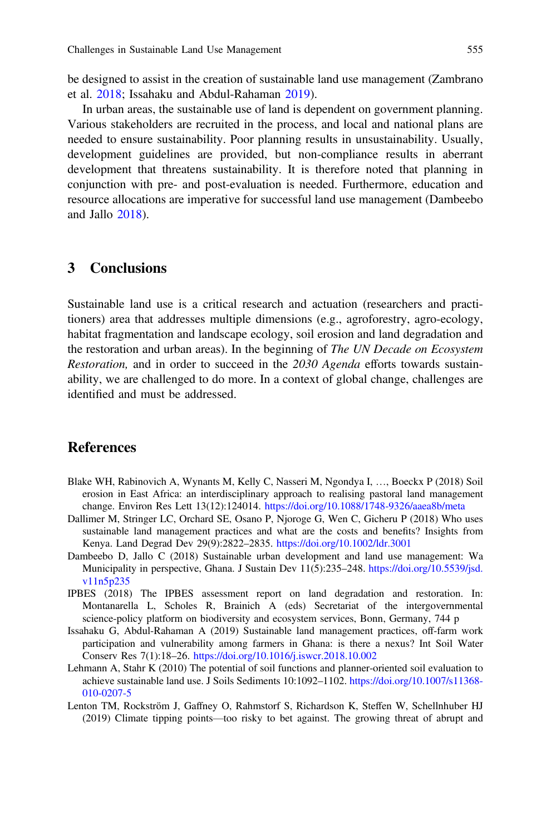<span id="page-2-0"></span>be designed to assist in the creation of sustainable land use management (Zambrano et al. [2018](#page-3-0); Issahaku and Abdul-Rahaman 2019).

In urban areas, the sustainable use of land is dependent on government planning. Various stakeholders are recruited in the process, and local and national plans are needed to ensure sustainability. Poor planning results in unsustainability. Usually, development guidelines are provided, but non-compliance results in aberrant development that threatens sustainability. It is therefore noted that planning in conjunction with pre- and post-evaluation is needed. Furthermore, education and resource allocations are imperative for successful land use management (Dambeebo and Jallo 2018).

#### 3 Conclusions

Sustainable land use is a critical research and actuation (researchers and practitioners) area that addresses multiple dimensions (e.g., agroforestry, agro-ecology, habitat fragmentation and landscape ecology, soil erosion and land degradation and the restoration and urban areas). In the beginning of The UN Decade on Ecosystem Restoration, and in order to succeed in the 2030 Agenda efforts towards sustainability, we are challenged to do more. In a context of global change, challenges are identified and must be addressed.

### References

- Blake WH, Rabinovich A, Wynants M, Kelly C, Nasseri M, Ngondya I, …, Boeckx P (2018) Soil erosion in East Africa: an interdisciplinary approach to realising pastoral land management change. Environ Res Lett 13(12):124014. [https://doi.org/10.1088/1748-9326/aaea8b/meta](http://dx.doi.org/10.1088/1748-9326/aaea8b/meta)
- Dallimer M, Stringer LC, Orchard SE, Osano P, Njoroge G, Wen C, Gicheru P (2018) Who uses sustainable land management practices and what are the costs and benefits? Insights from Kenya. Land Degrad Dev 29(9):2822–2835. [https://doi.org/10.1002/ldr.3001](http://dx.doi.org/10.1002/ldr.3001)
- Dambeebo D, Jallo C (2018) Sustainable urban development and land use management: Wa Municipality in perspective, Ghana. J Sustain Dev 11(5):235–248. [https://doi.org/10.5539/jsd.](http://dx.doi.org/10.5539/jsd.v11n5p235) [v11n5p235](http://dx.doi.org/10.5539/jsd.v11n5p235)
- IPBES (2018) The IPBES assessment report on land degradation and restoration. In: Montanarella L, Scholes R, Brainich A (eds) Secretariat of the intergovernmental science-policy platform on biodiversity and ecosystem services, Bonn, Germany, 744 p
- Issahaku G, Abdul-Rahaman A (2019) Sustainable land management practices, off-farm work participation and vulnerability among farmers in Ghana: is there a nexus? Int Soil Water Conserv Res 7(1):18–26. [https://doi.org/10.1016/j.iswcr.2018.10.002](http://dx.doi.org/10.1016/j.iswcr.2018.10.002)
- Lehmann A, Stahr K (2010) The potential of soil functions and planner-oriented soil evaluation to achieve sustainable land use. J Soils Sediments 10:1092–1102. [https://doi.org/10.1007/s11368-](http://dx.doi.org/10.1007/s11368-010-0207-5) [010-0207-5](http://dx.doi.org/10.1007/s11368-010-0207-5)
- Lenton TM, Rockström J, Gaffney O, Rahmstorf S, Richardson K, Steffen W, Schellnhuber HJ (2019) Climate tipping points—too risky to bet against. The growing threat of abrupt and